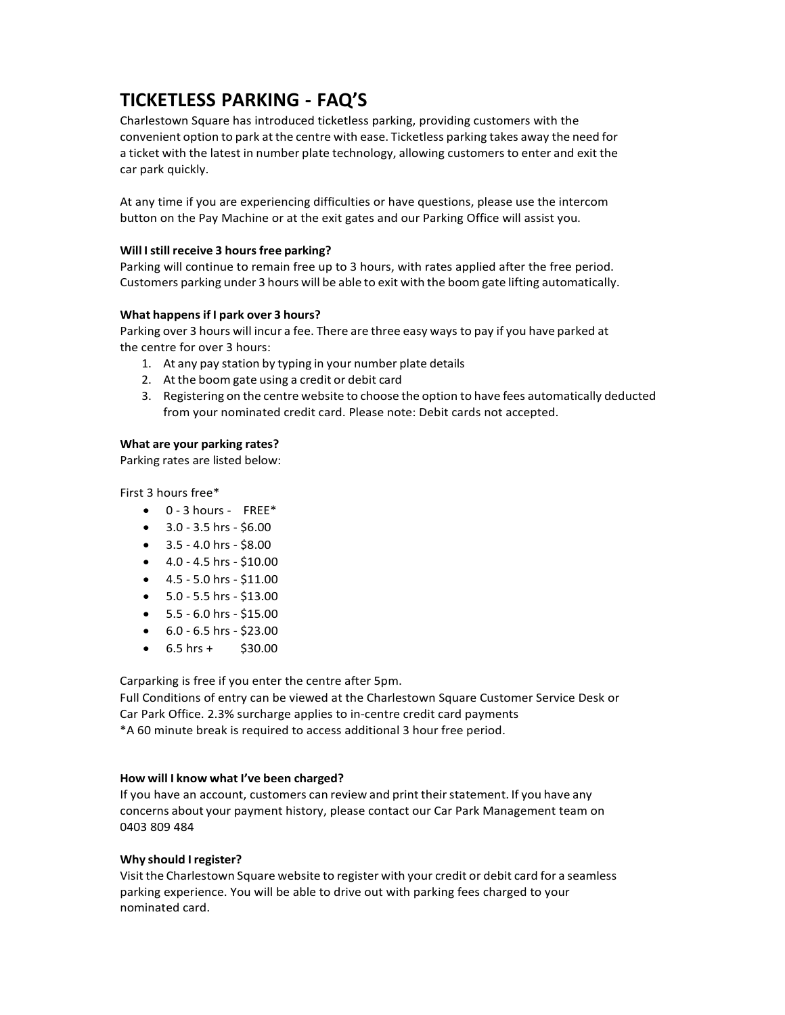# **TICKETLESS PARKING - FAQ'S**

Charlestown Square has introduced ticketless parking, providing customers with the convenient option to park at the centre with ease. Ticketless parking takes away the need for a ticket with the latest in number plate technology, allowing customers to enter and exit the car park quickly.

At any time if you are experiencing difficulties or have questions, please use the intercom button on the Pay Machine or at the exit gates and our Parking Office will assist you.

## **Will Istill receive 3 hours free parking?**

Parking will continue to remain free up to 3 hours, with rates applied after the free period. Customers parking under 3 hours will be able to exit with the boom gate lifting automatically.

## **What happensif I park over 3 hours?**

Parking over 3 hours will incur a fee. There are three easy ways to pay if you have parked at the centre for over 3 hours:

- 1. At any pay station by typing in your number plate details
- 2. At the boom gate using a credit or debit card
- 3. Registering on the centre website to choose the option to have fees automatically deducted from your nominated credit card. Please note: Debit cards not accepted.

## **What are your parking rates?**

Parking rates are listed below:

First 3 hours free\*

- $\bullet$  0 3 hours FREE\*
- 3.0 3.5 hrs \$6.00
- $\bullet$  3.5 4.0 hrs \$8.00
- $\bullet$  4.0 4.5 hrs \$10.00
- $\bullet$  4.5 5.0 hrs \$11.00
- $\bullet$  5.0 5.5 hrs \$13.00
- $5.5 6.0$  hrs  $$15.00$
- $\bullet$  6.0 6.5 hrs \$23.00
- $6.5$  hrs +  $$30.00$

Carparking is free if you enter the centre after 5pm.

Full Conditions of entry can be viewed at the Charlestown Square Customer Service Desk or Car Park Office. 2.3% surcharge applies to in-centre credit card payments \*A 60 minute break is required to access additional 3 hour free period.

#### **How will I know what I've been charged?**

If you have an account, customers can review and print their statement. If you have any concerns about your payment history, please contact our Car Park Management team on 0403 809 484

#### **Why should Iregister?**

Visit the Charlestown Square website to register with your credit or debit card for a seamless parking experience. You will be able to drive out with parking fees charged to your nominated card.